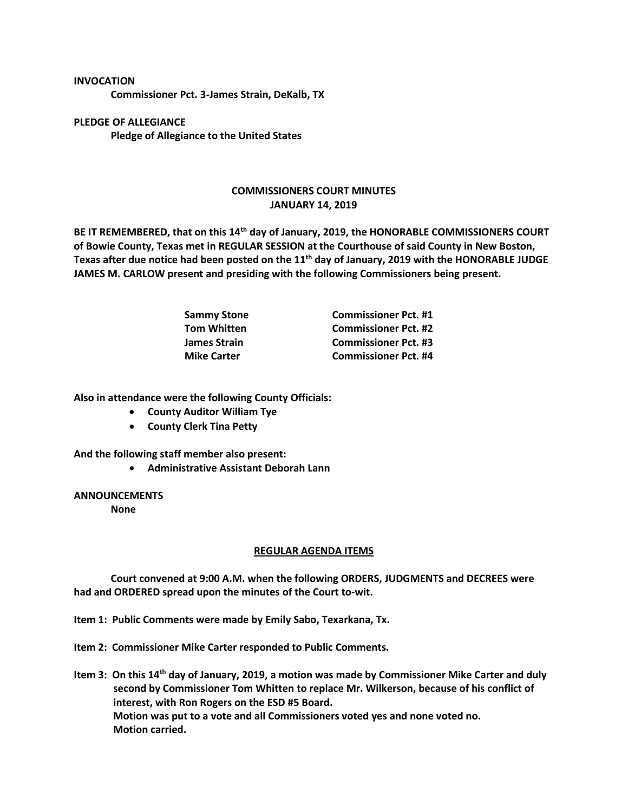## **INVOCATION**

**Commissioner Pct. 3-James Strain, DeKalb, TX**

**PLEDGE OF ALLEGIANCE Pledge of Allegiance to the United States**

## **COMMISSIONERS COURT MINUTES JANUARY 14, 2019**

**BE IT REMEMBERED, that on this 14th day of January, 2019, the HONORABLE COMMISSIONERS COURT of Bowie County, Texas met in REGULAR SESSION at the Courthouse of said County in New Boston, Texas after due notice had been posted on the 11th day of January, 2019 with the HONORABLE JUDGE JAMES M. CARLOW present and presiding with the following Commissioners being present.**

| <b>Sammy Stone</b>  | <b>Commissioner Pct. #1</b> |
|---------------------|-----------------------------|
| <b>Tom Whitten</b>  | <b>Commissioner Pct. #2</b> |
| <b>James Strain</b> | <b>Commissioner Pct. #3</b> |
| <b>Mike Carter</b>  | <b>Commissioner Pct. #4</b> |

**Also in attendance were the following County Officials:**

- **County Auditor William Tye**
- **County Clerk Tina Petty**

**And the following staff member also present:**

• **Administrative Assistant Deborah Lann**

## **ANNOUNCEMENTS**

**None**

## **REGULAR AGENDA ITEMS**

**Court convened at 9:00 A.M. when the following ORDERS, JUDGMENTS and DECREES were had and ORDERED spread upon the minutes of the Court to-wit.**

- **Item 1: Public Comments were made by Emily Sabo, Texarkana, Tx.**
- **Item 2: Commissioner Mike Carter responded to Public Comments.**
- **Item 3: On this 14th day of January, 2019, a motion was made by Commissioner Mike Carter and duly second by Commissioner Tom Whitten to replace Mr. Wilkerson, because of his conflict of interest, with Ron Rogers on the ESD #5 Board. Motion was put to a vote and all Commissioners voted yes and none voted no. Motion carried.**